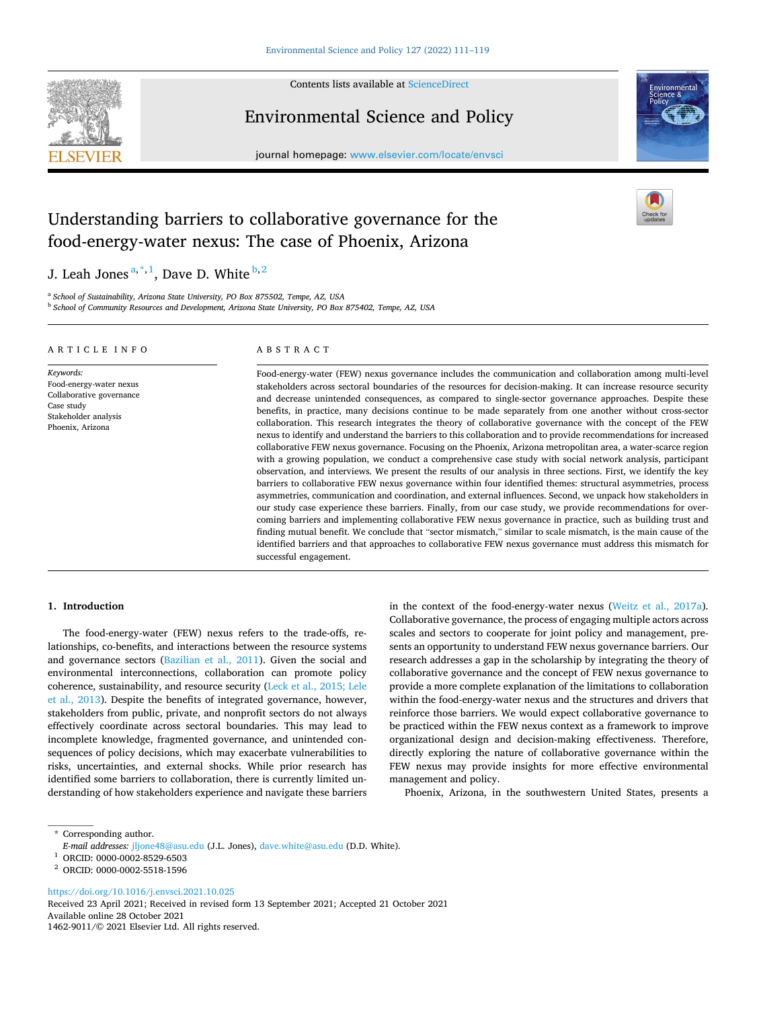

Contents lists available at [ScienceDirect](www.sciencedirect.com/science/journal/14629011)

Environmental Science and Policy





# Understanding barriers to collaborative governance for the food-energy-water nexus: The case of Phoenix, Arizona

J. Leah Jones<sup> $a,*,1$ </sup>, Dave D. White  $b,2$ 

<sup>a</sup> *School of Sustainability, Arizona State University, PO Box 875502, Tempe, AZ, USA* <sup>b</sup> *School of Community Resources and Development, Arizona State University, PO Box 875402, Tempe, AZ, USA* 

#### ARTICLE INFO

Food-energy-water nexus Collaborative governance

*Keywords:* 

Case study Stakeholder analysis Phoenix, Arizona

# ABSTRACT

Food-energy-water (FEW) nexus governance includes the communication and collaboration among multi-level stakeholders across sectoral boundaries of the resources for decision-making. It can increase resource security and decrease unintended consequences, as compared to single-sector governance approaches. Despite these benefits, in practice, many decisions continue to be made separately from one another without cross-sector collaboration. This research integrates the theory of collaborative governance with the concept of the FEW nexus to identify and understand the barriers to this collaboration and to provide recommendations for increased collaborative FEW nexus governance. Focusing on the Phoenix, Arizona metropolitan area, a water-scarce region with a growing population, we conduct a comprehensive case study with social network analysis, participant observation, and interviews. We present the results of our analysis in three sections. First, we identify the key barriers to collaborative FEW nexus governance within four identified themes: structural asymmetries, process asymmetries, communication and coordination, and external influences. Second, we unpack how stakeholders in our study case experience these barriers. Finally, from our case study, we provide recommendations for overcoming barriers and implementing collaborative FEW nexus governance in practice, such as building trust and finding mutual benefit. We conclude that "sector mismatch," similar to scale mismatch, is the main cause of the identified barriers and that approaches to collaborative FEW nexus governance must address this mismatch for successful engagement.

### **1. Introduction**

The food-energy-water (FEW) nexus refers to the trade-offs, relationships, co-benefits, and interactions between the resource systems and governance sectors [\(Bazilian et al., 2011\)](#page-7-0). Given the social and environmental interconnections, collaboration can promote policy coherence, sustainability, and resource security ([Leck et al., 2015; Lele](#page-8-0)  [et al., 2013](#page-8-0)). Despite the benefits of integrated governance, however, stakeholders from public, private, and nonprofit sectors do not always effectively coordinate across sectoral boundaries. This may lead to incomplete knowledge, fragmented governance, and unintended consequences of policy decisions, which may exacerbate vulnerabilities to risks, uncertainties, and external shocks. While prior research has identified some barriers to collaboration, there is currently limited understanding of how stakeholders experience and navigate these barriers in the context of the food-energy-water nexus ([Weitz et al., 2017a](#page-8-0)). Collaborative governance, the process of engaging multiple actors across scales and sectors to cooperate for joint policy and management, presents an opportunity to understand FEW nexus governance barriers. Our research addresses a gap in the scholarship by integrating the theory of collaborative governance and the concept of FEW nexus governance to provide a more complete explanation of the limitations to collaboration within the food-energy-water nexus and the structures and drivers that reinforce those barriers. We would expect collaborative governance to be practiced within the FEW nexus context as a framework to improve organizational design and decision-making effectiveness. Therefore, directly exploring the nature of collaborative governance within the FEW nexus may provide insights for more effective environmental management and policy.

Phoenix, Arizona, in the southwestern United States, presents a

<https://doi.org/10.1016/j.envsci.2021.10.025>

Available online 28 October 2021 1462-9011/© 2021 Elsevier Ltd. All rights reserved. Received 23 April 2021; Received in revised form 13 September 2021; Accepted 21 October 2021

<sup>\*</sup> Corresponding author.

*E-mail addresses:* [jljone48@asu.edu](mailto:jljone48@asu.edu) (J.L. Jones), [dave.white@asu.edu](mailto:dave.white@asu.edu) (D.D. White). 1 ORCID: 0000-0002-8529-6503 2 ORCID: 0000-0002-5518-1596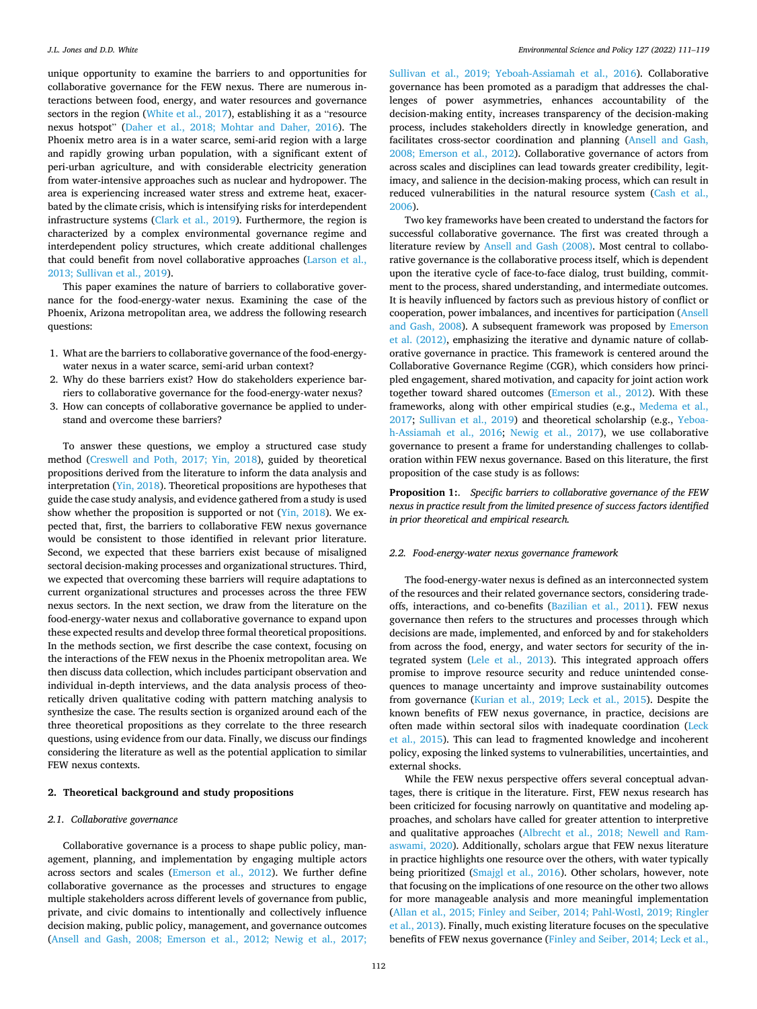<span id="page-1-0"></span>unique opportunity to examine the barriers to and opportunities for collaborative governance for the FEW nexus. There are numerous interactions between food, energy, and water resources and governance sectors in the region [\(White et al., 2017](#page-8-0)), establishing it as a "resource nexus hotspot" ([Daher et al., 2018; Mohtar and Daher, 2016](#page-7-0)). The Phoenix metro area is in a water scarce, semi-arid region with a large and rapidly growing urban population, with a significant extent of peri-urban agriculture, and with considerable electricity generation from water-intensive approaches such as nuclear and hydropower. The area is experiencing increased water stress and extreme heat, exacerbated by the climate crisis, which is intensifying risks for interdependent infrastructure systems [\(Clark et al., 2019](#page-7-0)). Furthermore, the region is characterized by a complex environmental governance regime and interdependent policy structures, which create additional challenges that could benefit from novel collaborative approaches ([Larson et al.,](#page-7-0)  [2013; Sullivan et al., 2019](#page-7-0)).

This paper examines the nature of barriers to collaborative governance for the food-energy-water nexus. Examining the case of the Phoenix, Arizona metropolitan area, we address the following research questions:

- 1. What are the barriers to collaborative governance of the food-energywater nexus in a water scarce, semi-arid urban context?
- 2. Why do these barriers exist? How do stakeholders experience barriers to collaborative governance for the food-energy-water nexus?
- 3. How can concepts of collaborative governance be applied to understand and overcome these barriers?

To answer these questions, we employ a structured case study method ([Creswell and Poth, 2017; Yin, 2018](#page-7-0)), guided by theoretical propositions derived from the literature to inform the data analysis and interpretation ([Yin, 2018\)](#page-8-0). Theoretical propositions are hypotheses that guide the case study analysis, and evidence gathered from a study is used show whether the proposition is supported or not [\(Yin, 2018](#page-8-0)). We expected that, first, the barriers to collaborative FEW nexus governance would be consistent to those identified in relevant prior literature. Second, we expected that these barriers exist because of misaligned sectoral decision-making processes and organizational structures. Third, we expected that overcoming these barriers will require adaptations to current organizational structures and processes across the three FEW nexus sectors. In the next section, we draw from the literature on the food-energy-water nexus and collaborative governance to expand upon these expected results and develop three formal theoretical propositions. In the methods section, we first describe the case context, focusing on the interactions of the FEW nexus in the Phoenix metropolitan area. We then discuss data collection, which includes participant observation and individual in-depth interviews, and the data analysis process of theoretically driven qualitative coding with pattern matching analysis to synthesize the case. The results section is organized around each of the three theoretical propositions as they correlate to the three research questions, using evidence from our data. Finally, we discuss our findings considering the literature as well as the potential application to similar FEW nexus contexts.

### **2. Theoretical background and study propositions**

#### *2.1. Collaborative governance*

Collaborative governance is a process to shape public policy, management, planning, and implementation by engaging multiple actors across sectors and scales ([Emerson et al., 2012\)](#page-7-0). We further define collaborative governance as the processes and structures to engage multiple stakeholders across different levels of governance from public, private, and civic domains to intentionally and collectively influence decision making, public policy, management, and governance outcomes ([Ansell and Gash, 2008; Emerson et al., 2012; Newig et al., 2017;](#page-7-0) 

[Sullivan et al., 2019; Yeboah-Assiamah et al., 2016\)](#page-7-0). Collaborative governance has been promoted as a paradigm that addresses the challenges of power asymmetries, enhances accountability of the decision-making entity, increases transparency of the decision-making process, includes stakeholders directly in knowledge generation, and facilitates cross-sector coordination and planning ([Ansell and Gash,](#page-7-0)  [2008; Emerson et al., 2012\)](#page-7-0). Collaborative governance of actors from across scales and disciplines can lead towards greater credibility, legitimacy, and salience in the decision-making process, which can result in reduced vulnerabilities in the natural resource system ([Cash et al.,](#page-7-0)  [2006\)](#page-7-0).

Two key frameworks have been created to understand the factors for successful collaborative governance. The first was created through a literature review by [Ansell and Gash \(2008\)](#page-7-0). Most central to collaborative governance is the collaborative process itself, which is dependent upon the iterative cycle of face-to-face dialog, trust building, commitment to the process, shared understanding, and intermediate outcomes. It is heavily influenced by factors such as previous history of conflict or cooperation, power imbalances, and incentives for participation ([Ansell](#page-7-0)  [and Gash, 2008](#page-7-0)). A subsequent framework was proposed by [Emerson](#page-7-0)  [et al. \(2012\)](#page-7-0), emphasizing the iterative and dynamic nature of collaborative governance in practice. This framework is centered around the Collaborative Governance Regime (CGR), which considers how principled engagement, shared motivation, and capacity for joint action work together toward shared outcomes [\(Emerson et al., 2012](#page-7-0)). With these frameworks, along with other empirical studies (e.g., [Medema et al.,](#page-8-0)  [2017;](#page-8-0) [Sullivan et al., 2019\)](#page-8-0) and theoretical scholarship (e.g., [Yeboa](#page-8-0)[h-Assiamah et al., 2016](#page-8-0); [Newig et al., 2017](#page-8-0)), we use collaborative governance to present a frame for understanding challenges to collaboration within FEW nexus governance. Based on this literature, the first proposition of the case study is as follows:

**Proposition 1:**. *Specific barriers to collaborative governance of the FEW nexus in practice result from the limited presence of success factors identified in prior theoretical and empirical research.* 

#### *2.2. Food-energy-water nexus governance framework*

The food-energy-water nexus is defined as an interconnected system of the resources and their related governance sectors, considering tradeoffs, interactions, and co-benefits [\(Bazilian et al., 2011\)](#page-7-0). FEW nexus governance then refers to the structures and processes through which decisions are made, implemented, and enforced by and for stakeholders from across the food, energy, and water sectors for security of the integrated system ([Lele et al., 2013\)](#page-8-0). This integrated approach offers promise to improve resource security and reduce unintended consequences to manage uncertainty and improve sustainability outcomes from governance [\(Kurian et al., 2019; Leck et al., 2015\)](#page-7-0). Despite the known benefits of FEW nexus governance, in practice, decisions are often made within sectoral silos with inadequate coordination ([Leck](#page-8-0)  [et al., 2015](#page-8-0)). This can lead to fragmented knowledge and incoherent policy, exposing the linked systems to vulnerabilities, uncertainties, and external shocks.

While the FEW nexus perspective offers several conceptual advantages, there is critique in the literature. First, FEW nexus research has been criticized for focusing narrowly on quantitative and modeling approaches, and scholars have called for greater attention to interpretive and qualitative approaches [\(Albrecht et al., 2018; Newell and Ram](#page-7-0)[aswami, 2020](#page-7-0)). Additionally, scholars argue that FEW nexus literature in practice highlights one resource over the others, with water typically being prioritized [\(Smajgl et al., 2016](#page-8-0)). Other scholars, however, note that focusing on the implications of one resource on the other two allows for more manageable analysis and more meaningful implementation ([Allan et al., 2015; Finley and Seiber, 2014; Pahl-Wostl, 2019; Ringler](#page-7-0)  [et al., 2013\)](#page-7-0). Finally, much existing literature focuses on the speculative benefits of FEW nexus governance ([Finley and Seiber, 2014; Leck et al.,](#page-7-0)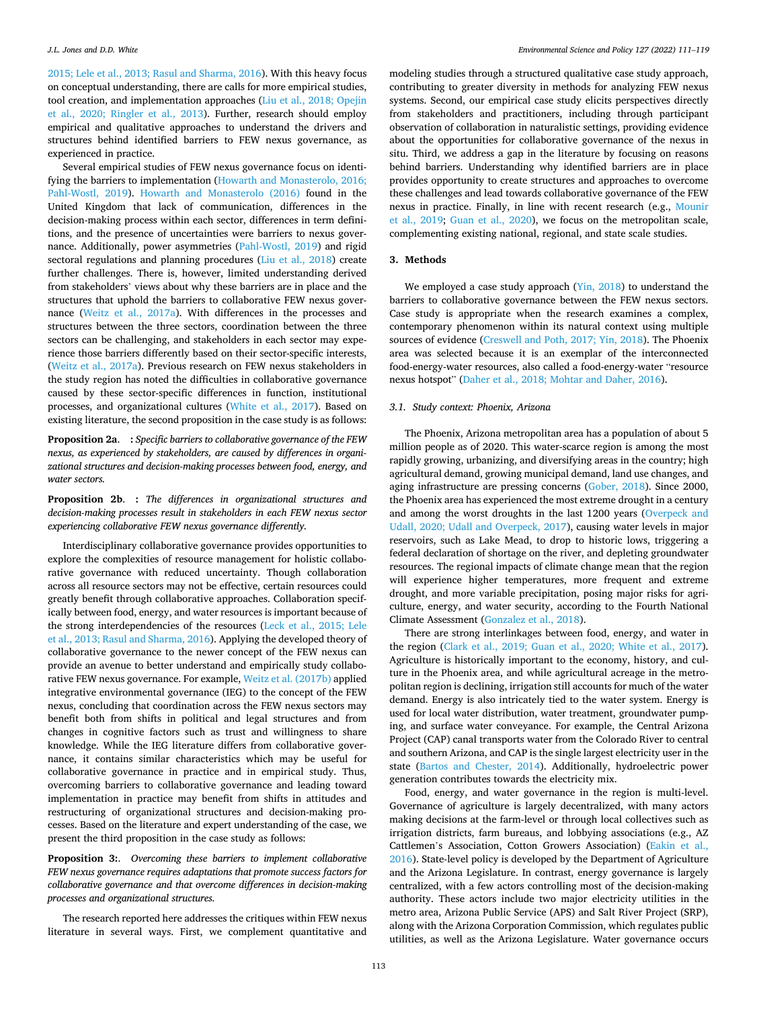<span id="page-2-0"></span>[2015; Lele et al., 2013; Rasul and Sharma, 2016\)](#page-7-0). With this heavy focus on conceptual understanding, there are calls for more empirical studies, tool creation, and implementation approaches [\(Liu et al., 2018; Opejin](#page-8-0)  [et al., 2020; Ringler et al., 2013](#page-8-0)). Further, research should employ empirical and qualitative approaches to understand the drivers and structures behind identified barriers to FEW nexus governance, as experienced in practice.

Several empirical studies of FEW nexus governance focus on identifying the barriers to implementation [\(Howarth and Monasterolo, 2016;](#page-7-0)  [Pahl-Wostl, 2019\)](#page-7-0). [Howarth and Monasterolo \(2016\)](#page-7-0) found in the United Kingdom that lack of communication, differences in the decision-making process within each sector, differences in term definitions, and the presence of uncertainties were barriers to nexus governance. Additionally, power asymmetries [\(Pahl-Wostl, 2019\)](#page-8-0) and rigid sectoral regulations and planning procedures [\(Liu et al., 2018](#page-8-0)) create further challenges. There is, however, limited understanding derived from stakeholders' views about why these barriers are in place and the structures that uphold the barriers to collaborative FEW nexus governance ([Weitz et al., 2017a](#page-8-0)). With differences in the processes and structures between the three sectors, coordination between the three sectors can be challenging, and stakeholders in each sector may experience those barriers differently based on their sector-specific interests, ([Weitz et al., 2017a](#page-8-0)). Previous research on FEW nexus stakeholders in the study region has noted the difficulties in collaborative governance caused by these sector-specific differences in function, institutional processes, and organizational cultures [\(White et al., 2017](#page-8-0)). Based on existing literature, the second proposition in the case study is as follows:

**Proposition 2a**. **:** *Specific barriers to collaborative governance of the FEW nexus, as experienced by stakeholders, are caused by differences in organizational structures and decision-making processes between food, energy, and water sectors.* 

**Proposition 2b**. **:** *The differences in organizational structures and decision-making processes result in stakeholders in each FEW nexus sector experiencing collaborative FEW nexus governance differently.* 

Interdisciplinary collaborative governance provides opportunities to explore the complexities of resource management for holistic collaborative governance with reduced uncertainty. Though collaboration across all resource sectors may not be effective, certain resources could greatly benefit through collaborative approaches. Collaboration specifically between food, energy, and water resources is important because of the strong interdependencies of the resources ([Leck et al., 2015; Lele](#page-8-0)  [et al., 2013; Rasul and Sharma, 2016](#page-8-0)). Applying the developed theory of collaborative governance to the newer concept of the FEW nexus can provide an avenue to better understand and empirically study collaborative FEW nexus governance. For example, [Weitz et al. \(2017b\)](#page-8-0) applied integrative environmental governance (IEG) to the concept of the FEW nexus, concluding that coordination across the FEW nexus sectors may benefit both from shifts in political and legal structures and from changes in cognitive factors such as trust and willingness to share knowledge. While the IEG literature differs from collaborative governance, it contains similar characteristics which may be useful for collaborative governance in practice and in empirical study. Thus, overcoming barriers to collaborative governance and leading toward implementation in practice may benefit from shifts in attitudes and restructuring of organizational structures and decision-making processes. Based on the literature and expert understanding of the case, we present the third proposition in the case study as follows:

**Proposition 3:**. *Overcoming these barriers to implement collaborative FEW nexus governance requires adaptations that promote success factors for collaborative governance and that overcome differences in decision-making processes and organizational structures.* 

The research reported here addresses the critiques within FEW nexus literature in several ways. First, we complement quantitative and modeling studies through a structured qualitative case study approach, contributing to greater diversity in methods for analyzing FEW nexus systems. Second, our empirical case study elicits perspectives directly from stakeholders and practitioners, including through participant observation of collaboration in naturalistic settings, providing evidence about the opportunities for collaborative governance of the nexus in situ. Third, we address a gap in the literature by focusing on reasons behind barriers. Understanding why identified barriers are in place provides opportunity to create structures and approaches to overcome these challenges and lead towards collaborative governance of the FEW nexus in practice. Finally, in line with recent research (e.g., [Mounir](#page-8-0)  [et al., 2019;](#page-8-0) [Guan et al., 2020\)](#page-7-0), we focus on the metropolitan scale, complementing existing national, regional, and state scale studies.

### **3. Methods**

We employed a case study approach [\(Yin, 2018\)](#page-8-0) to understand the barriers to collaborative governance between the FEW nexus sectors. Case study is appropriate when the research examines a complex, contemporary phenomenon within its natural context using multiple sources of evidence ([Creswell and Poth, 2017; Yin, 2018](#page-7-0)). The Phoenix area was selected because it is an exemplar of the interconnected food-energy-water resources, also called a food-energy-water "resource nexus hotspot" [\(Daher et al., 2018; Mohtar and Daher, 2016](#page-7-0)).

### *3.1. Study context: Phoenix, Arizona*

The Phoenix, Arizona metropolitan area has a population of about 5 million people as of 2020. This water-scarce region is among the most rapidly growing, urbanizing, and diversifying areas in the country; high agricultural demand, growing municipal demand, land use changes, and aging infrastructure are pressing concerns [\(Gober, 2018\)](#page-7-0). Since 2000, the Phoenix area has experienced the most extreme drought in a century and among the worst droughts in the last 1200 years ([Overpeck and](#page-8-0)  [Udall, 2020; Udall and Overpeck, 2017\)](#page-8-0), causing water levels in major reservoirs, such as Lake Mead, to drop to historic lows, triggering a federal declaration of shortage on the river, and depleting groundwater resources. The regional impacts of climate change mean that the region will experience higher temperatures, more frequent and extreme drought, and more variable precipitation, posing major risks for agriculture, energy, and water security, according to the Fourth National Climate Assessment [\(Gonzalez et al., 2018](#page-7-0)).

There are strong interlinkages between food, energy, and water in the region [\(Clark et al., 2019; Guan et al., 2020; White et al., 2017](#page-7-0)). Agriculture is historically important to the economy, history, and culture in the Phoenix area, and while agricultural acreage in the metropolitan region is declining, irrigation still accounts for much of the water demand. Energy is also intricately tied to the water system. Energy is used for local water distribution, water treatment, groundwater pumping, and surface water conveyance. For example, the Central Arizona Project (CAP) canal transports water from the Colorado River to central and southern Arizona, and CAP is the single largest electricity user in the state [\(Bartos and Chester, 2014\)](#page-7-0). Additionally, hydroelectric power generation contributes towards the electricity mix.

Food, energy, and water governance in the region is multi-level. Governance of agriculture is largely decentralized, with many actors making decisions at the farm-level or through local collectives such as irrigation districts, farm bureaus, and lobbying associations (e.g., AZ Cattlemen's Association, Cotton Growers Association) ([Eakin et al.,](#page-7-0)  [2016\)](#page-7-0). State-level policy is developed by the Department of Agriculture and the Arizona Legislature. In contrast, energy governance is largely centralized, with a few actors controlling most of the decision-making authority. These actors include two major electricity utilities in the metro area, Arizona Public Service (APS) and Salt River Project (SRP), along with the Arizona Corporation Commission, which regulates public utilities, as well as the Arizona Legislature. Water governance occurs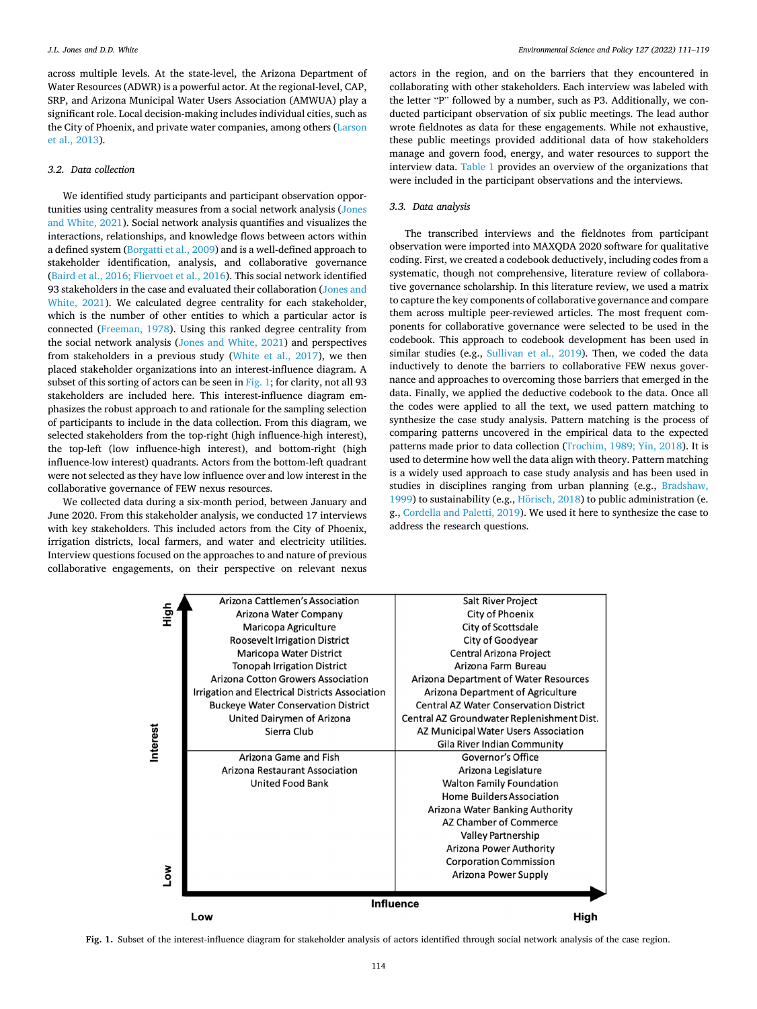across multiple levels. At the state-level, the Arizona Department of Water Resources (ADWR) is a powerful actor. At the regional-level, CAP, SRP, and Arizona Municipal Water Users Association (AMWUA) play a significant role. Local decision-making includes individual cities, such as the City of Phoenix, and private water companies, among others [\(Larson](#page-7-0)  [et al., 2013\)](#page-7-0).

#### *3.2. Data collection*

We identified study participants and participant observation opportunities using centrality measures from a social network analysis ([Jones](#page-7-0)  [and White, 2021](#page-7-0)). Social network analysis quantifies and visualizes the interactions, relationships, and knowledge flows between actors within a defined system [\(Borgatti et al., 2009](#page-7-0)) and is a well-defined approach to stakeholder identification, analysis, and collaborative governance ([Baird et al., 2016; Fliervoet et al., 2016\)](#page-7-0). This social network identified 93 stakeholders in the case and evaluated their collaboration ([Jones and](#page-7-0)  [White, 2021\)](#page-7-0). We calculated degree centrality for each stakeholder, which is the number of other entities to which a particular actor is connected ([Freeman, 1978](#page-7-0)). Using this ranked degree centrality from the social network analysis ([Jones and White, 2021\)](#page-7-0) and perspectives from stakeholders in a previous study [\(White et al., 2017](#page-8-0)), we then placed stakeholder organizations into an interest-influence diagram. A subset of this sorting of actors can be seen in Fig. 1; for clarity, not all 93 stakeholders are included here. This interest-influence diagram emphasizes the robust approach to and rationale for the sampling selection of participants to include in the data collection. From this diagram, we selected stakeholders from the top-right (high influence-high interest), the top-left (low influence-high interest), and bottom-right (high influence-low interest) quadrants. Actors from the bottom-left quadrant were not selected as they have low influence over and low interest in the collaborative governance of FEW nexus resources.

We collected data during a six-month period, between January and June 2020. From this stakeholder analysis, we conducted 17 interviews with key stakeholders. This included actors from the City of Phoenix, irrigation districts, local farmers, and water and electricity utilities. Interview questions focused on the approaches to and nature of previous collaborative engagements, on their perspective on relevant nexus

actors in the region, and on the barriers that they encountered in collaborating with other stakeholders. Each interview was labeled with the letter "P" followed by a number, such as P3. Additionally, we conducted participant observation of six public meetings. The lead author wrote fieldnotes as data for these engagements. While not exhaustive, these public meetings provided additional data of how stakeholders manage and govern food, energy, and water resources to support the interview data. [Table 1](#page-4-0) provides an overview of the organizations that were included in the participant observations and the interviews.

### *3.3. Data analysis*

The transcribed interviews and the fieldnotes from participant observation were imported into MAXQDA 2020 software for qualitative coding. First, we created a codebook deductively, including codes from a systematic, though not comprehensive, literature review of collaborative governance scholarship. In this literature review, we used a matrix to capture the key components of collaborative governance and compare them across multiple peer-reviewed articles. The most frequent components for collaborative governance were selected to be used in the codebook. This approach to codebook development has been used in similar studies (e.g., [Sullivan et al., 2019\)](#page-8-0). Then, we coded the data inductively to denote the barriers to collaborative FEW nexus governance and approaches to overcoming those barriers that emerged in the data. Finally, we applied the deductive codebook to the data. Once all the codes were applied to all the text, we used pattern matching to synthesize the case study analysis. Pattern matching is the process of comparing patterns uncovered in the empirical data to the expected patterns made prior to data collection ([Trochim, 1989; Yin, 2018\)](#page-8-0). It is used to determine how well the data align with theory. Pattern matching is a widely used approach to case study analysis and has been used in studies in disciplines ranging from urban planning (e.g., [Bradshaw,](#page-7-0)  [1999\)](#page-7-0) to sustainability (e.g., Hörisch,  $2018$ ) to public administration (e. g., [Cordella and Paletti, 2019](#page-7-0)). We used it here to synthesize the case to address the research questions.



**Fig. 1.** Subset of the interest-influence diagram for stakeholder analysis of actors identified through social network analysis of the case region.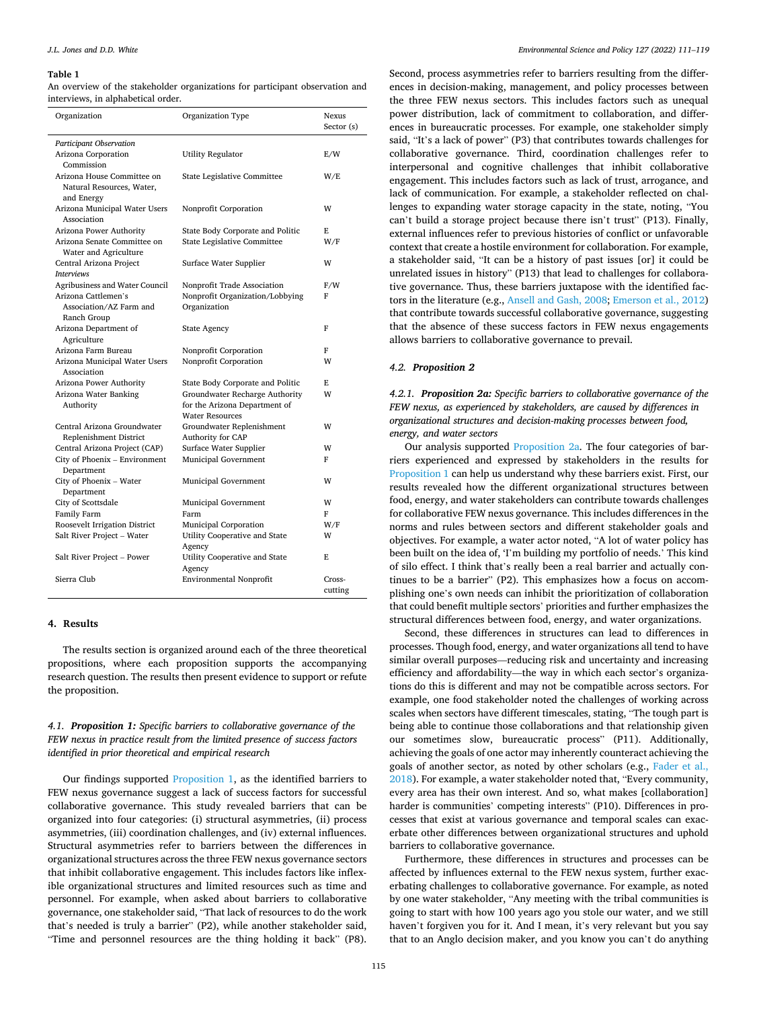#### <span id="page-4-0"></span>**Table 1**

An overview of the stakeholder organizations for participant observation and interviews, in alphabetical order.

| Organization                                                          | Organization Type                                                                         | Nexus<br>Sector (s) |
|-----------------------------------------------------------------------|-------------------------------------------------------------------------------------------|---------------------|
| Participant Observation                                               |                                                                                           |                     |
| Arizona Corporation<br>Commission                                     | <b>Utility Regulator</b>                                                                  | E/W                 |
| Arizona House Committee on<br>Natural Resources, Water,<br>and Energy | State Legislative Committee                                                               | W/E                 |
| Arizona Municipal Water Users<br>Association                          | Nonprofit Corporation                                                                     | w                   |
| Arizona Power Authority                                               | State Body Corporate and Politic                                                          | E                   |
| Arizona Senate Committee on<br>Water and Agriculture                  | State Legislative Committee                                                               | W/F                 |
| Central Arizona Project<br><b>Interviews</b>                          | Surface Water Supplier                                                                    | W                   |
| Agribusiness and Water Council                                        | Nonprofit Trade Association                                                               | F/W                 |
| Arizona Cattlemen's<br>Association/AZ Farm and<br>Ranch Group         | Nonprofit Organization/Lobbying<br>Organization                                           | F                   |
| Arizona Department of<br>Agriculture                                  | <b>State Agency</b>                                                                       | F                   |
| Arizona Farm Bureau                                                   | Nonprofit Corporation                                                                     | F                   |
| Arizona Municipal Water Users<br>Association                          | Nonprofit Corporation                                                                     | W                   |
| Arizona Power Authority                                               | State Body Corporate and Politic                                                          | F.                  |
| Arizona Water Banking<br>Authority                                    | Groundwater Recharge Authority<br>for the Arizona Department of<br><b>Water Resources</b> | W                   |
| Central Arizona Groundwater<br>Replenishment District                 | Groundwater Replenishment<br>Authority for CAP                                            | W                   |
| Central Arizona Project (CAP)                                         | <b>Surface Water Supplier</b>                                                             | w                   |
| City of Phoenix - Environment<br>Department                           | Municipal Government                                                                      | F                   |
| City of Phoenix - Water<br>Department                                 | Municipal Government                                                                      | W                   |
| City of Scottsdale                                                    | Municipal Government                                                                      | W                   |
| Family Farm                                                           | Farm                                                                                      | F                   |
| Roosevelt Irrigation District                                         | Municipal Corporation                                                                     | W/F                 |
| Salt River Project - Water                                            | Utility Cooperative and State<br>Agency                                                   | W                   |
| Salt River Project - Power                                            | Utility Cooperative and State<br>Agency                                                   | F.                  |
| Sierra Club                                                           | <b>Environmental Nonprofit</b>                                                            | Cross-<br>cutting   |

### **4. Results**

The results section is organized around each of the three theoretical propositions, where each proposition supports the accompanying research question. The results then present evidence to support or refute the proposition.

### *4.1. Proposition 1: Specific barriers to collaborative governance of the FEW nexus in practice result from the limited presence of success factors identified in prior theoretical and empirical research*

Our findings supported [Proposition 1](#page-1-0), as the identified barriers to FEW nexus governance suggest a lack of success factors for successful collaborative governance. This study revealed barriers that can be organized into four categories: (i) structural asymmetries, (ii) process asymmetries, (iii) coordination challenges, and (iv) external influences. Structural asymmetries refer to barriers between the differences in organizational structures across the three FEW nexus governance sectors that inhibit collaborative engagement. This includes factors like inflexible organizational structures and limited resources such as time and personnel. For example, when asked about barriers to collaborative governance, one stakeholder said, "That lack of resources to do the work that's needed is truly a barrier" (P2), while another stakeholder said, "Time and personnel resources are the thing holding it back" (P8).

Second, process asymmetries refer to barriers resulting from the differences in decision-making, management, and policy processes between the three FEW nexus sectors. This includes factors such as unequal power distribution, lack of commitment to collaboration, and differences in bureaucratic processes. For example, one stakeholder simply said, "It's a lack of power" (P3) that contributes towards challenges for collaborative governance. Third, coordination challenges refer to interpersonal and cognitive challenges that inhibit collaborative engagement. This includes factors such as lack of trust, arrogance, and lack of communication. For example, a stakeholder reflected on challenges to expanding water storage capacity in the state, noting, "You can't build a storage project because there isn't trust" (P13). Finally, external influences refer to previous histories of conflict or unfavorable context that create a hostile environment for collaboration. For example, a stakeholder said, "It can be a history of past issues [or] it could be unrelated issues in history" (P13) that lead to challenges for collaborative governance. Thus, these barriers juxtapose with the identified factors in the literature (e.g., [Ansell and Gash, 2008](#page-7-0); [Emerson et al., 2012\)](#page-7-0) that contribute towards successful collaborative governance, suggesting that the absence of these success factors in FEW nexus engagements allows barriers to collaborative governance to prevail.

#### *4.2. Proposition 2*

*4.2.1. Proposition 2a: Specific barriers to collaborative governance of the FEW nexus, as experienced by stakeholders, are caused by differences in organizational structures and decision-making processes between food, energy, and water sectors* 

Our analysis supported [Proposition 2a](#page-2-0). The four categories of barriers experienced and expressed by stakeholders in the results for [Proposition 1](#page-1-0) can help us understand why these barriers exist. First, our results revealed how the different organizational structures between food, energy, and water stakeholders can contribute towards challenges for collaborative FEW nexus governance. This includes differences in the norms and rules between sectors and different stakeholder goals and objectives. For example, a water actor noted, "A lot of water policy has been built on the idea of, 'I'm building my portfolio of needs.' This kind of silo effect. I think that's really been a real barrier and actually continues to be a barrier" (P2). This emphasizes how a focus on accomplishing one's own needs can inhibit the prioritization of collaboration that could benefit multiple sectors' priorities and further emphasizes the structural differences between food, energy, and water organizations.

Second, these differences in structures can lead to differences in processes. Though food, energy, and water organizations all tend to have similar overall purposes—reducing risk and uncertainty and increasing efficiency and affordability—the way in which each sector's organizations do this is different and may not be compatible across sectors. For example, one food stakeholder noted the challenges of working across scales when sectors have different timescales, stating, "The tough part is being able to continue those collaborations and that relationship given our sometimes slow, bureaucratic process" (P11). Additionally, achieving the goals of one actor may inherently counteract achieving the goals of another sector, as noted by other scholars (e.g., [Fader et al.,](#page-7-0)  [2018\)](#page-7-0). For example, a water stakeholder noted that, "Every community, every area has their own interest. And so, what makes [collaboration] harder is communities' competing interests" (P10). Differences in processes that exist at various governance and temporal scales can exacerbate other differences between organizational structures and uphold barriers to collaborative governance.

Furthermore, these differences in structures and processes can be affected by influences external to the FEW nexus system, further exacerbating challenges to collaborative governance. For example, as noted by one water stakeholder, "Any meeting with the tribal communities is going to start with how 100 years ago you stole our water, and we still haven't forgiven you for it. And I mean, it's very relevant but you say that to an Anglo decision maker, and you know you can't do anything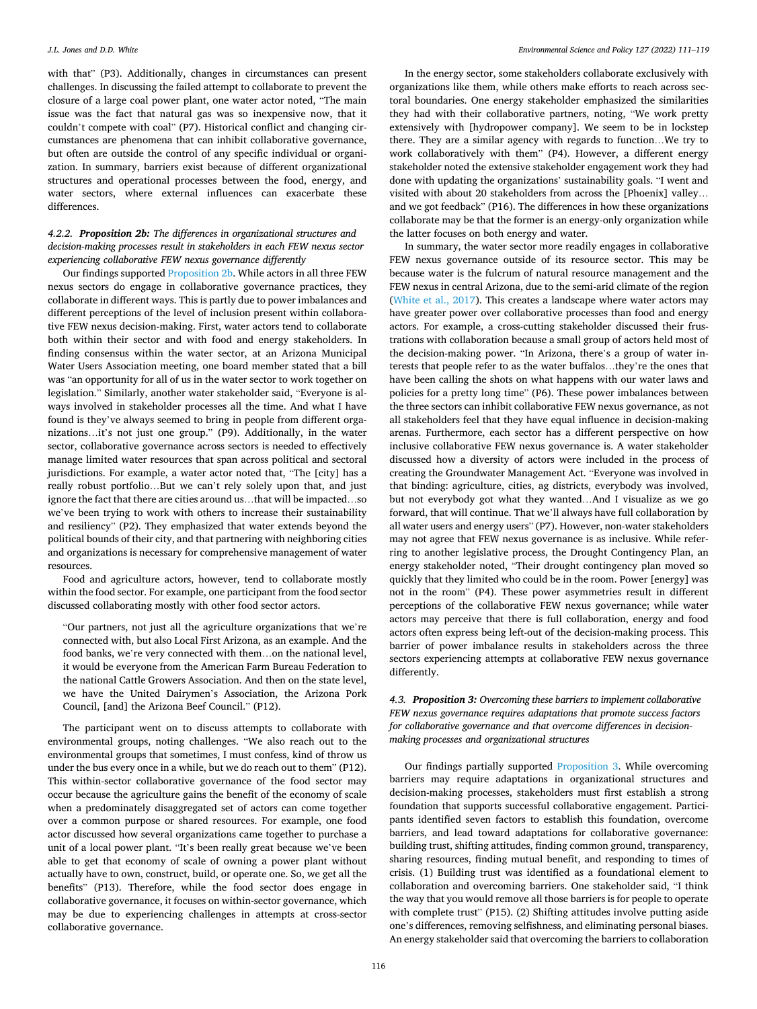with that" (P3). Additionally, changes in circumstances can present challenges. In discussing the failed attempt to collaborate to prevent the closure of a large coal power plant, one water actor noted, "The main issue was the fact that natural gas was so inexpensive now, that it couldn't compete with coal" (P7). Historical conflict and changing circumstances are phenomena that can inhibit collaborative governance, but often are outside the control of any specific individual or organization. In summary, barriers exist because of different organizational structures and operational processes between the food, energy, and water sectors, where external influences can exacerbate these differences.

### *4.2.2. Proposition 2b: The differences in organizational structures and decision-making processes result in stakeholders in each FEW nexus sector experiencing collaborative FEW nexus governance differently*

Our findings supported [Proposition 2b](#page-2-0). While actors in all three FEW nexus sectors do engage in collaborative governance practices, they collaborate in different ways. This is partly due to power imbalances and different perceptions of the level of inclusion present within collaborative FEW nexus decision-making. First, water actors tend to collaborate both within their sector and with food and energy stakeholders. In finding consensus within the water sector, at an Arizona Municipal Water Users Association meeting, one board member stated that a bill was "an opportunity for all of us in the water sector to work together on legislation." Similarly, another water stakeholder said, "Everyone is always involved in stakeholder processes all the time. And what I have found is they've always seemed to bring in people from different organizations…it's not just one group." (P9). Additionally, in the water sector, collaborative governance across sectors is needed to effectively manage limited water resources that span across political and sectoral jurisdictions. For example, a water actor noted that, "The [city] has a really robust portfolio…But we can't rely solely upon that, and just ignore the fact that there are cities around us…that will be impacted…so we've been trying to work with others to increase their sustainability and resiliency" (P2). They emphasized that water extends beyond the political bounds of their city, and that partnering with neighboring cities and organizations is necessary for comprehensive management of water resources.

Food and agriculture actors, however, tend to collaborate mostly within the food sector. For example, one participant from the food sector discussed collaborating mostly with other food sector actors.

"Our partners, not just all the agriculture organizations that we're connected with, but also Local First Arizona, as an example. And the food banks, we're very connected with them…on the national level, it would be everyone from the American Farm Bureau Federation to the national Cattle Growers Association. And then on the state level, we have the United Dairymen's Association, the Arizona Pork Council, [and] the Arizona Beef Council." (P12).

The participant went on to discuss attempts to collaborate with environmental groups, noting challenges. "We also reach out to the environmental groups that sometimes, I must confess, kind of throw us under the bus every once in a while, but we do reach out to them" (P12). This within-sector collaborative governance of the food sector may occur because the agriculture gains the benefit of the economy of scale when a predominately disaggregated set of actors can come together over a common purpose or shared resources. For example, one food actor discussed how several organizations came together to purchase a unit of a local power plant. "It's been really great because we've been able to get that economy of scale of owning a power plant without actually have to own, construct, build, or operate one. So, we get all the benefits" (P13). Therefore, while the food sector does engage in collaborative governance, it focuses on within-sector governance, which may be due to experiencing challenges in attempts at cross-sector collaborative governance.

In the energy sector, some stakeholders collaborate exclusively with organizations like them, while others make efforts to reach across sectoral boundaries. One energy stakeholder emphasized the similarities they had with their collaborative partners, noting, "We work pretty extensively with [hydropower company]. We seem to be in lockstep there. They are a similar agency with regards to function…We try to work collaboratively with them" (P4). However, a different energy stakeholder noted the extensive stakeholder engagement work they had done with updating the organizations' sustainability goals. "I went and visited with about 20 stakeholders from across the [Phoenix] valley… and we got feedback" (P16). The differences in how these organizations collaborate may be that the former is an energy-only organization while the latter focuses on both energy and water.

In summary, the water sector more readily engages in collaborative FEW nexus governance outside of its resource sector. This may be because water is the fulcrum of natural resource management and the FEW nexus in central Arizona, due to the semi-arid climate of the region ([White et al., 2017](#page-8-0)). This creates a landscape where water actors may have greater power over collaborative processes than food and energy actors. For example, a cross-cutting stakeholder discussed their frustrations with collaboration because a small group of actors held most of the decision-making power. "In Arizona, there's a group of water interests that people refer to as the water buffalos…they're the ones that have been calling the shots on what happens with our water laws and policies for a pretty long time" (P6). These power imbalances between the three sectors can inhibit collaborative FEW nexus governance, as not all stakeholders feel that they have equal influence in decision-making arenas. Furthermore, each sector has a different perspective on how inclusive collaborative FEW nexus governance is. A water stakeholder discussed how a diversity of actors were included in the process of creating the Groundwater Management Act. "Everyone was involved in that binding: agriculture, cities, ag districts, everybody was involved, but not everybody got what they wanted…And I visualize as we go forward, that will continue. That we'll always have full collaboration by all water users and energy users" (P7). However, non-water stakeholders may not agree that FEW nexus governance is as inclusive. While referring to another legislative process, the Drought Contingency Plan, an energy stakeholder noted, "Their drought contingency plan moved so quickly that they limited who could be in the room. Power [energy] was not in the room" (P4). These power asymmetries result in different perceptions of the collaborative FEW nexus governance; while water actors may perceive that there is full collaboration, energy and food actors often express being left-out of the decision-making process. This barrier of power imbalance results in stakeholders across the three sectors experiencing attempts at collaborative FEW nexus governance differently.

# *4.3. Proposition 3: Overcoming these barriers to implement collaborative FEW nexus governance requires adaptations that promote success factors for collaborative governance and that overcome differences in decisionmaking processes and organizational structures*

Our findings partially supported [Proposition 3.](#page-2-0) While overcoming barriers may require adaptations in organizational structures and decision-making processes, stakeholders must first establish a strong foundation that supports successful collaborative engagement. Participants identified seven factors to establish this foundation, overcome barriers, and lead toward adaptations for collaborative governance: building trust, shifting attitudes, finding common ground, transparency, sharing resources, finding mutual benefit, and responding to times of crisis. (1) Building trust was identified as a foundational element to collaboration and overcoming barriers. One stakeholder said, "I think the way that you would remove all those barriers is for people to operate with complete trust" (P15). (2) Shifting attitudes involve putting aside one's differences, removing selfishness, and eliminating personal biases. An energy stakeholder said that overcoming the barriers to collaboration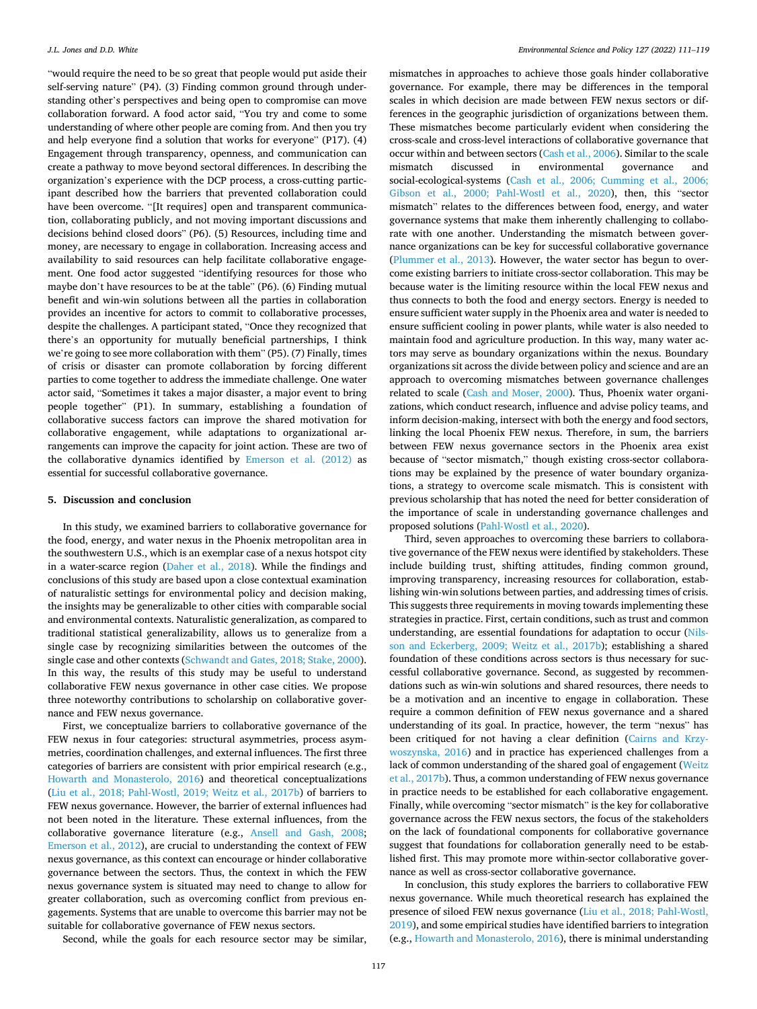"would require the need to be so great that people would put aside their self-serving nature" (P4). (3) Finding common ground through understanding other's perspectives and being open to compromise can move collaboration forward. A food actor said, "You try and come to some understanding of where other people are coming from. And then you try and help everyone find a solution that works for everyone" (P17). (4) Engagement through transparency, openness, and communication can create a pathway to move beyond sectoral differences. In describing the organization's experience with the DCP process, a cross-cutting participant described how the barriers that prevented collaboration could have been overcome. "[It requires] open and transparent communication, collaborating publicly, and not moving important discussions and decisions behind closed doors" (P6). (5) Resources, including time and money, are necessary to engage in collaboration. Increasing access and availability to said resources can help facilitate collaborative engagement. One food actor suggested "identifying resources for those who maybe don't have resources to be at the table" (P6). (6) Finding mutual benefit and win-win solutions between all the parties in collaboration provides an incentive for actors to commit to collaborative processes, despite the challenges. A participant stated, "Once they recognized that there's an opportunity for mutually beneficial partnerships, I think we're going to see more collaboration with them" (P5). (7) Finally, times of crisis or disaster can promote collaboration by forcing different parties to come together to address the immediate challenge. One water actor said, "Sometimes it takes a major disaster, a major event to bring people together" (P1). In summary, establishing a foundation of collaborative success factors can improve the shared motivation for collaborative engagement, while adaptations to organizational arrangements can improve the capacity for joint action. These are two of the collaborative dynamics identified by [Emerson et al. \(2012\)](#page-7-0) as essential for successful collaborative governance.

### **5. Discussion and conclusion**

In this study, we examined barriers to collaborative governance for the food, energy, and water nexus in the Phoenix metropolitan area in the southwestern U.S., which is an exemplar case of a nexus hotspot city in a water-scarce region [\(Daher et al., 2018](#page-7-0)). While the findings and conclusions of this study are based upon a close contextual examination of naturalistic settings for environmental policy and decision making, the insights may be generalizable to other cities with comparable social and environmental contexts. Naturalistic generalization, as compared to traditional statistical generalizability, allows us to generalize from a single case by recognizing similarities between the outcomes of the single case and other contexts ([Schwandt and Gates, 2018; Stake, 2000](#page-8-0)). In this way, the results of this study may be useful to understand collaborative FEW nexus governance in other case cities. We propose three noteworthy contributions to scholarship on collaborative governance and FEW nexus governance.

First, we conceptualize barriers to collaborative governance of the FEW nexus in four categories: structural asymmetries, process asymmetries, coordination challenges, and external influences. The first three categories of barriers are consistent with prior empirical research (e.g., [Howarth and Monasterolo, 2016](#page-7-0)) and theoretical conceptualizations ([Liu et al., 2018; Pahl-Wostl, 2019; Weitz et al., 2017b\)](#page-8-0) of barriers to FEW nexus governance. However, the barrier of external influences had not been noted in the literature. These external influences, from the collaborative governance literature (e.g., [Ansell and Gash, 2008](#page-7-0); [Emerson et al., 2012\)](#page-7-0), are crucial to understanding the context of FEW nexus governance, as this context can encourage or hinder collaborative governance between the sectors. Thus, the context in which the FEW nexus governance system is situated may need to change to allow for greater collaboration, such as overcoming conflict from previous engagements. Systems that are unable to overcome this barrier may not be suitable for collaborative governance of FEW nexus sectors.

Second, while the goals for each resource sector may be similar,

mismatches in approaches to achieve those goals hinder collaborative governance. For example, there may be differences in the temporal scales in which decision are made between FEW nexus sectors or differences in the geographic jurisdiction of organizations between them. These mismatches become particularly evident when considering the cross-scale and cross-level interactions of collaborative governance that occur within and between sectors [\(Cash et al., 2006\)](#page-7-0). Similar to the scale mismatch discussed in environmental governance and social-ecological-systems ([Cash et al., 2006; Cumming et al., 2006;](#page-7-0)  [Gibson et al., 2000; Pahl-Wostl et al., 2020\)](#page-7-0), then, this "sector mismatch" relates to the differences between food, energy, and water governance systems that make them inherently challenging to collaborate with one another. Understanding the mismatch between governance organizations can be key for successful collaborative governance ([Plummer et al., 2013\)](#page-8-0). However, the water sector has begun to overcome existing barriers to initiate cross-sector collaboration. This may be because water is the limiting resource within the local FEW nexus and thus connects to both the food and energy sectors. Energy is needed to ensure sufficient water supply in the Phoenix area and water is needed to ensure sufficient cooling in power plants, while water is also needed to maintain food and agriculture production. In this way, many water actors may serve as boundary organizations within the nexus. Boundary organizations sit across the divide between policy and science and are an approach to overcoming mismatches between governance challenges related to scale [\(Cash and Moser, 2000\)](#page-7-0). Thus, Phoenix water organizations, which conduct research, influence and advise policy teams, and inform decision-making, intersect with both the energy and food sectors, linking the local Phoenix FEW nexus. Therefore, in sum, the barriers between FEW nexus governance sectors in the Phoenix area exist because of "sector mismatch," though existing cross-sector collaborations may be explained by the presence of water boundary organizations, a strategy to overcome scale mismatch. This is consistent with previous scholarship that has noted the need for better consideration of the importance of scale in understanding governance challenges and proposed solutions [\(Pahl-Wostl et al., 2020](#page-8-0)).

Third, seven approaches to overcoming these barriers to collaborative governance of the FEW nexus were identified by stakeholders. These include building trust, shifting attitudes, finding common ground, improving transparency, increasing resources for collaboration, establishing win-win solutions between parties, and addressing times of crisis. This suggests three requirements in moving towards implementing these strategies in practice. First, certain conditions, such as trust and common understanding, are essential foundations for adaptation to occur [\(Nils](#page-8-0)[son and Eckerberg, 2009; Weitz et al., 2017b](#page-8-0)); establishing a shared foundation of these conditions across sectors is thus necessary for successful collaborative governance. Second, as suggested by recommendations such as win-win solutions and shared resources, there needs to be a motivation and an incentive to engage in collaboration. These require a common definition of FEW nexus governance and a shared understanding of its goal. In practice, however, the term "nexus" has been critiqued for not having a clear definition ([Cairns and Krzy](#page-7-0)[woszynska, 2016\)](#page-7-0) and in practice has experienced challenges from a lack of common understanding of the shared goal of engagement ([Weitz](#page-8-0)  [et al., 2017b\)](#page-8-0). Thus, a common understanding of FEW nexus governance in practice needs to be established for each collaborative engagement. Finally, while overcoming "sector mismatch" is the key for collaborative governance across the FEW nexus sectors, the focus of the stakeholders on the lack of foundational components for collaborative governance suggest that foundations for collaboration generally need to be established first. This may promote more within-sector collaborative governance as well as cross-sector collaborative governance.

In conclusion, this study explores the barriers to collaborative FEW nexus governance. While much theoretical research has explained the presence of siloed FEW nexus governance [\(Liu et al., 2018; Pahl-Wostl,](#page-8-0)  [2019\)](#page-8-0), and some empirical studies have identified barriers to integration (e.g., [Howarth and Monasterolo, 2016\)](#page-7-0), there is minimal understanding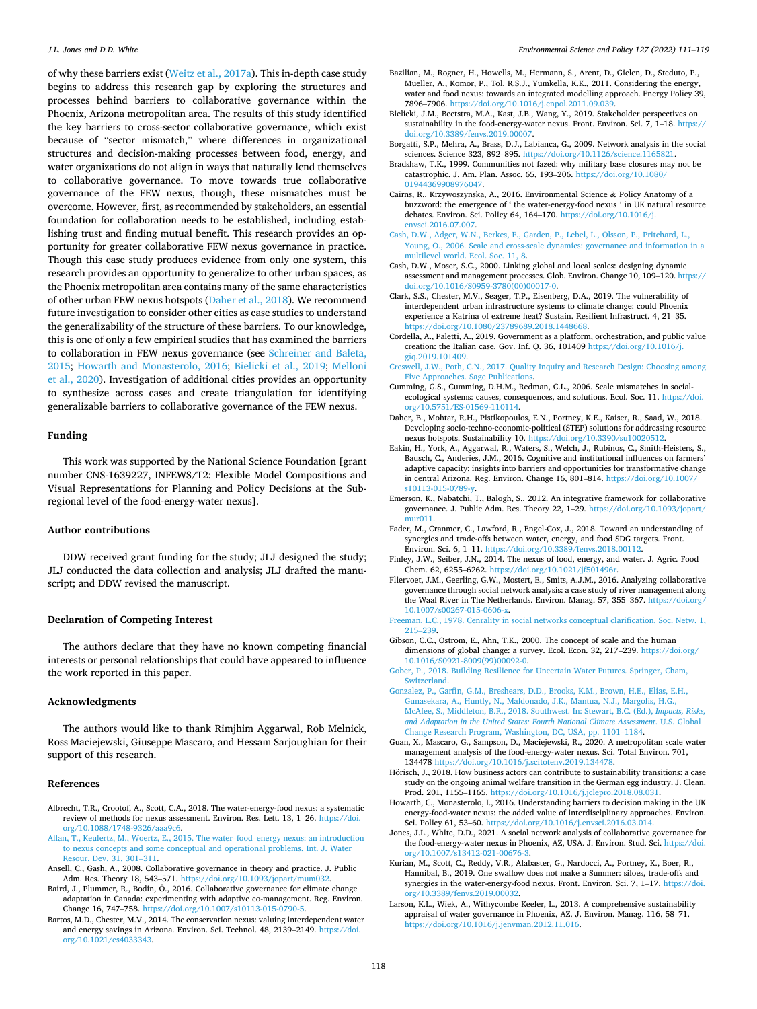<span id="page-7-0"></span>of why these barriers exist [\(Weitz et al., 2017a\)](#page-8-0). This in-depth case study begins to address this research gap by exploring the structures and processes behind barriers to collaborative governance within the Phoenix, Arizona metropolitan area. The results of this study identified the key barriers to cross-sector collaborative governance, which exist because of "sector mismatch," where differences in organizational structures and decision-making processes between food, energy, and water organizations do not align in ways that naturally lend themselves to collaborative governance. To move towards true collaborative governance of the FEW nexus, though, these mismatches must be overcome. However, first, as recommended by stakeholders, an essential foundation for collaboration needs to be established, including establishing trust and finding mutual benefit. This research provides an opportunity for greater collaborative FEW nexus governance in practice. Though this case study produces evidence from only one system, this research provides an opportunity to generalize to other urban spaces, as the Phoenix metropolitan area contains many of the same characteristics of other urban FEW nexus hotspots (Daher et al., 2018). We recommend future investigation to consider other cities as case studies to understand the generalizability of the structure of these barriers. To our knowledge, this is one of only a few empirical studies that has examined the barriers to collaboration in FEW nexus governance (see [Schreiner and Baleta,](#page-8-0)  [2015;](#page-8-0) Howarth and Monasterolo, 2016; Bielicki et al., 2019; [Melloni](#page-8-0)  [et al., 2020](#page-8-0)). Investigation of additional cities provides an opportunity to synthesize across cases and create triangulation for identifying generalizable barriers to collaborative governance of the FEW nexus.

### **Funding**

This work was supported by the National Science Foundation [grant number CNS-1639227, INFEWS/T2: Flexible Model Compositions and Visual Representations for Planning and Policy Decisions at the Subregional level of the food-energy-water nexus].

### **Author contributions**

DDW received grant funding for the study; JLJ designed the study; JLJ conducted the data collection and analysis; JLJ drafted the manuscript; and DDW revised the manuscript.

### **Declaration of Competing Interest**

The authors declare that they have no known competing financial interests or personal relationships that could have appeared to influence the work reported in this paper.

### **Acknowledgments**

The authors would like to thank Rimjhim Aggarwal, Rob Melnick, Ross Maciejewski, Giuseppe Mascaro, and Hessam Sarjoughian for their support of this research.

#### **References**

- Albrecht, T.R., Crootof, A., Scott, C.A., 2018. The water-energy-food nexus: a systematic review of methods for nexus assessment. Environ. Res. Lett. 13, 1–26. [https://doi.](https://doi.org/10.1088/1748-9326/aaa9c6) [org/10.1088/1748-9326/aaa9c6](https://doi.org/10.1088/1748-9326/aaa9c6).
- [Allan, T., Keulertz, M., Woertz, E., 2015. The water](http://refhub.elsevier.com/S1462-9011(21)00305-1/sbref2)–food–energy nexus: an introduction [to nexus concepts and some conceptual and operational problems. Int. J. Water](http://refhub.elsevier.com/S1462-9011(21)00305-1/sbref2)  [Resour. Dev. 31, 301](http://refhub.elsevier.com/S1462-9011(21)00305-1/sbref2)–311.
- Ansell, C., Gash, A., 2008. Collaborative governance in theory and practice. J. Public Adm. Res. Theory 18, 543–571.<https://doi.org/10.1093/jopart/mum032>.
- Baird, J., Plummer, R., Bodin, Ö., 2016. Collaborative governance for climate change adaptation in Canada: experimenting with adaptive co-management. Reg. Environ. Change 16, 747–758. [https://doi.org/10.1007/s10113-015-0790-5.](https://doi.org/10.1007/s10113-015-0790-5)
- Bartos, M.D., Chester, M.V., 2014. The conservation nexus: valuing interdependent water and energy savings in Arizona. Environ. Sci. Technol. 48, 2139–2149. [https://doi.](https://doi.org/10.1021/es4033343) [org/10.1021/es4033343](https://doi.org/10.1021/es4033343).
- Bazilian, M., Rogner, H., Howells, M., Hermann, S., Arent, D., Gielen, D., Steduto, P., Mueller, A., Komor, P., Tol, R.S.J., Yumkella, K.K., 2011. Considering the energy, water and food nexus: towards an integrated modelling approach. Energy Policy 39, 7896–7906.<https://doi.org/10.1016/j.enpol.2011.09.039>.
- Bielicki, J.M., Beetstra, M.A., Kast, J.B., Wang, Y., 2019. Stakeholder perspectives on sustainability in the food-energy-water nexus. Front. Environ. Sci. 7, 1–18. [https://](https://doi.org/10.3389/fenvs.2019.00007)  [doi.org/10.3389/fenvs.2019.00007.](https://doi.org/10.3389/fenvs.2019.00007)
- Borgatti, S.P., Mehra, A., Brass, D.J., Labianca, G., 2009. Network analysis in the social sciences. Science 323, 892–895. [https://doi.org/10.1126/science.1165821.](https://doi.org/10.1126/science.1165821)
- Bradshaw, T.K., 1999. Communities not fazed: why military base closures may not be catastrophic. J. Am. Plan. Assoc. 65, 193–206. [https://doi.org/10.1080/](https://doi.org/10.1080/01944369908976047) [01944369908976047.](https://doi.org/10.1080/01944369908976047)
- Cairns, R., Krzywoszynska, A., 2016. Environmental Science & Policy Anatomy of a buzzword: the emergence of ' the water-energy-food nexus ' in UK natural resource debates. Environ. Sci. Policy 64, 164–170. [https://doi.org/10.1016/j.](https://doi.org/10.1016/j.envsci.2016.07.007)  [envsci.2016.07.007.](https://doi.org/10.1016/j.envsci.2016.07.007)
- [Cash, D.W., Adger, W.N., Berkes, F., Garden, P., Lebel, L., Olsson, P., Pritchard, L.,](http://refhub.elsevier.com/S1462-9011(21)00305-1/sbref11) [Young, O., 2006. Scale and cross-scale dynamics: governance and information in a](http://refhub.elsevier.com/S1462-9011(21)00305-1/sbref11)  [multilevel world. Ecol. Soc. 11, 8.](http://refhub.elsevier.com/S1462-9011(21)00305-1/sbref11)
- Cash, D.W., Moser, S.C., 2000. Linking global and local scales: designing dynamic assessment and management processes. Glob. Environ. Change 10, 109–120. [https://](https://doi.org/10.1016/S0959-3780(00)00017-0)  [doi.org/10.1016/S0959-3780\(00\)00017-0.](https://doi.org/10.1016/S0959-3780(00)00017-0)
- Clark, S.S., Chester, M.V., Seager, T.P., Eisenberg, D.A., 2019. The vulnerability of interdependent urban infrastructure systems to climate change: could Phoenix experience a Katrina of extreme heat? Sustain. Resilient Infrastruct. 4, 21–35. <https://doi.org/10.1080/23789689.2018.1448668>.
- Cordella, A., Paletti, A., 2019. Government as a platform, orchestration, and public value creation: the Italian case. Gov. Inf. Q. 36, 101409 [https://doi.org/10.1016/j.](https://doi.org/10.1016/j.giq.2019.101409) [giq.2019.101409.](https://doi.org/10.1016/j.giq.2019.101409)
- [Creswell, J.W., Poth, C.N., 2017. Quality Inquiry and Research Design: Choosing among](http://refhub.elsevier.com/S1462-9011(21)00305-1/sbref15)  [Five Approaches. Sage Publications](http://refhub.elsevier.com/S1462-9011(21)00305-1/sbref15).
- Cumming, G.S., Cumming, D.H.M., Redman, C.L., 2006. Scale mismatches in socialecological systems: causes, consequences, and solutions. Ecol. Soc. 11. [https://doi.](https://doi.org/10.5751/ES-01569-110114) [org/10.5751/ES-01569-110114](https://doi.org/10.5751/ES-01569-110114).
- Daher, B., Mohtar, R.H., Pistikopoulos, E.N., Portney, K.E., Kaiser, R., Saad, W., 2018. Developing socio-techno-economic-political (STEP) solutions for addressing resource nexus hotspots. Sustainability 10. [https://doi.org/10.3390/su10020512.](https://doi.org/10.3390/su10020512)
- Eakin, H., York, A., Aggarwal, R., Waters, S., Welch, J., Rubiños, C., Smith-Heisters, S., Bausch, C., Anderies, J.M., 2016. Cognitive and institutional influences on farmers' adaptive capacity: insights into barriers and opportunities for transformative change in central Arizona. Reg. Environ. Change 16, 801–814. [https://doi.org/10.1007/](https://doi.org/10.1007/s10113-015-0789-y) s10113-015-0789-y
- Emerson, K., Nabatchi, T., Balogh, S., 2012. An integrative framework for collaborative governance. J. Public Adm. Res. Theory 22, 1–29. [https://doi.org/10.1093/jopart/](https://doi.org/10.1093/jopart/mur011) [mur011.](https://doi.org/10.1093/jopart/mur011)
- Fader, M., Cranmer, C., Lawford, R., Engel-Cox, J., 2018. Toward an understanding of synergies and trade-offs between water, energy, and food SDG targets. Front. Environ. Sci. 6, 1–11. [https://doi.org/10.3389/fenvs.2018.00112.](https://doi.org/10.3389/fenvs.2018.00112)
- Finley, J.W., Seiber, J.N., 2014. The nexus of food, energy, and water. J. Agric. Food Chem. 62, 6255–6262. <https://doi.org/10.1021/jf501496r>.
- Fliervoet, J.M., Geerling, G.W., Mostert, E., Smits, A.J.M., 2016. Analyzing collaborative governance through social network analysis: a case study of river management along the Waal River in The Netherlands. Environ. Manag. 57, 355–367. [https://doi.org/](https://doi.org/10.1007/s00267-015-0606-x)  [10.1007/s00267-015-0606-x.](https://doi.org/10.1007/s00267-015-0606-x)
- [Freeman, L.C., 1978. Cenrality in social networks conceptual clarification. Soc. Netw. 1,](http://refhub.elsevier.com/S1462-9011(21)00305-1/sbref23)  215–[239](http://refhub.elsevier.com/S1462-9011(21)00305-1/sbref23).
- Gibson, C.C., Ostrom, E., Ahn, T.K., 2000. The concept of scale and the human dimensions of global change: a survey. Ecol. Econ. 32, 217–239. [https://doi.org/](https://doi.org/10.1016/S0921-8009(99)00092-0) [10.1016/S0921-8009\(99\)00092-0.](https://doi.org/10.1016/S0921-8009(99)00092-0)
- [Gober, P., 2018. Building Resilience for Uncertain Water Futures. Springer, Cham,](http://refhub.elsevier.com/S1462-9011(21)00305-1/sbref25)  [Switzerland.](http://refhub.elsevier.com/S1462-9011(21)00305-1/sbref25)
- [Gonzalez, P., Garfin, G.M., Breshears, D.D., Brooks, K.M., Brown, H.E., Elias, E.H.,](http://refhub.elsevier.com/S1462-9011(21)00305-1/sbref26)  [Gunasekara, A., Huntly, N., Maldonado, J.K., Mantua, N.J., Margolis, H.G.,](http://refhub.elsevier.com/S1462-9011(21)00305-1/sbref26)  [McAfee, S., Middleton, B.R., 2018. Southwest. In: Stewart, B.C. \(Ed.\),](http://refhub.elsevier.com/S1462-9011(21)00305-1/sbref26) *Impacts, Risks, [and Adaptation in the United States: Fourth National Climate Assessment](http://refhub.elsevier.com/S1462-9011(21)00305-1/sbref26)*. U.S. Global [Change Research Program, Washington, DC, USA, pp. 1101](http://refhub.elsevier.com/S1462-9011(21)00305-1/sbref26)–1184.
- Guan, X., Mascaro, G., Sampson, D., Maciejewski, R., 2020. A metropolitan scale water management analysis of the food-energy-water nexus. Sci. Total Environ. 701, 134478 <https://doi.org/10.1016/j.scitotenv.2019.134478>.
- Hörisch, J., 2018. How business actors can contribute to sustainability transitions: a case study on the ongoing animal welfare transition in the German egg industry. J. Clean. Prod. 201, 1155–1165. [https://doi.org/10.1016/j.jclepro.2018.08.031.](https://doi.org/10.1016/j.jclepro.2018.08.031)
- Howarth, C., Monasterolo, I., 2016. Understanding barriers to decision making in the UK energy-food-water nexus: the added value of interdisciplinary approaches. Environ. Sci. Policy 61, 53–60. <https://doi.org/10.1016/j.envsci.2016.03.014>.
- Jones, J.L., White, D.D., 2021. A social network analysis of collaborative governance for the food-energy-water nexus in Phoenix, AZ, USA. J. Environ. Stud. Sci. [https://doi.](https://doi.org/10.1007/s13412-021-00676-3)  org/10.1007/s13412-021-00676-
- Kurian, M., Scott, C., Reddy, V.R., Alabaster, G., Nardocci, A., Portney, K., Boer, R., Hannibal, B., 2019. One swallow does not make a Summer: siloes, trade-offs and synergies in the water-energy-food nexus. Front. Environ. Sci. 7, 1–17. [https://doi.](https://doi.org/10.3389/fenvs.2019.00032) [org/10.3389/fenvs.2019.00032](https://doi.org/10.3389/fenvs.2019.00032).
- Larson, K.L., Wiek, A., Withycombe Keeler, L., 2013. A comprehensive sustainability appraisal of water governance in Phoenix, AZ. J. Environ. Manag. 116, 58–71. [https://doi.org/10.1016/j.jenvman.2012.11.016.](https://doi.org/10.1016/j.jenvman.2012.11.016)